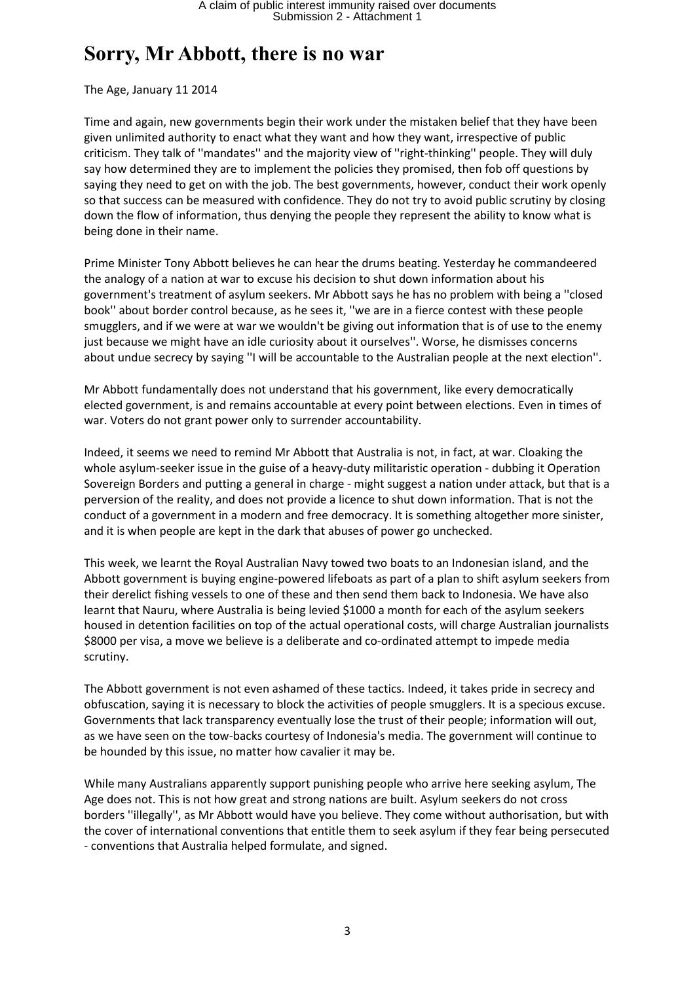# **Sorry, Mr Abbott, there is no war**

The Age, January 11 2014

Time and again, new governments begin their work under the mistaken belief that they have been given unlimited authority to enact what they want and how they want, irrespective of public criticism. They talk of ''mandates'' and the majority view of ''right-thinking'' people. They will duly say how determined they are to implement the policies they promised, then fob off questions by saying they need to get on with the job. The best governments, however, conduct their work openly so that success can be measured with confidence. They do not try to avoid public scrutiny by closing down the flow of information, thus denying the people they represent the ability to know what is being done in their name.

Prime Minister Tony Abbott believes he can hear the drums beating. Yesterday he commandeered the analogy of a nation at war to excuse his decision to shut down information about his government's treatment of asylum seekers. Mr Abbott says he has no problem with being a ''closed book'' about border control because, as he sees it, ''we are in a fierce contest with these people smugglers, and if we were at war we wouldn't be giving out information that is of use to the enemy just because we might have an idle curiosity about it ourselves''. Worse, he dismisses concerns about undue secrecy by saying ''I will be accountable to the Australian people at the next election''.

Mr Abbott fundamentally does not understand that his government, like every democratically elected government, is and remains accountable at every point between elections. Even in times of war. Voters do not grant power only to surrender accountability.

Indeed, it seems we need to remind Mr Abbott that Australia is not, in fact, at war. Cloaking the whole asylum-seeker issue in the guise of a heavy-duty militaristic operation - dubbing it Operation Sovereign Borders and putting a general in charge - might suggest a nation under attack, but that is a perversion of the reality, and does not provide a licence to shut down information. That is not the conduct of a government in a modern and free democracy. It is something altogether more sinister, and it is when people are kept in the dark that abuses of power go unchecked.

This week, we learnt the Royal Australian Navy towed two boats to an Indonesian island, and the Abbott government is buying engine-powered lifeboats as part of a plan to shift asylum seekers from their derelict fishing vessels to one of these and then send them back to Indonesia. We have also learnt that Nauru, where Australia is being levied \$1000 a month for each of the asylum seekers housed in detention facilities on top of the actual operational costs, will charge Australian journalists \$8000 per visa, a move we believe is a deliberate and co-ordinated attempt to impede media scrutiny.

The Abbott government is not even ashamed of these tactics. Indeed, it takes pride in secrecy and obfuscation, saying it is necessary to block the activities of people smugglers. It is a specious excuse. Governments that lack transparency eventually lose the trust of their people; information will out, as we have seen on the tow-backs courtesy of Indonesia's media. The government will continue to be hounded by this issue, no matter how cavalier it may be.

While many Australians apparently support punishing people who arrive here seeking asylum, The Age does not. This is not how great and strong nations are built. Asylum seekers do not cross borders ''illegally'', as Mr Abbott would have you believe. They come without authorisation, but with the cover of international conventions that entitle them to seek asylum if they fear being persecuted - conventions that Australia helped formulate, and signed.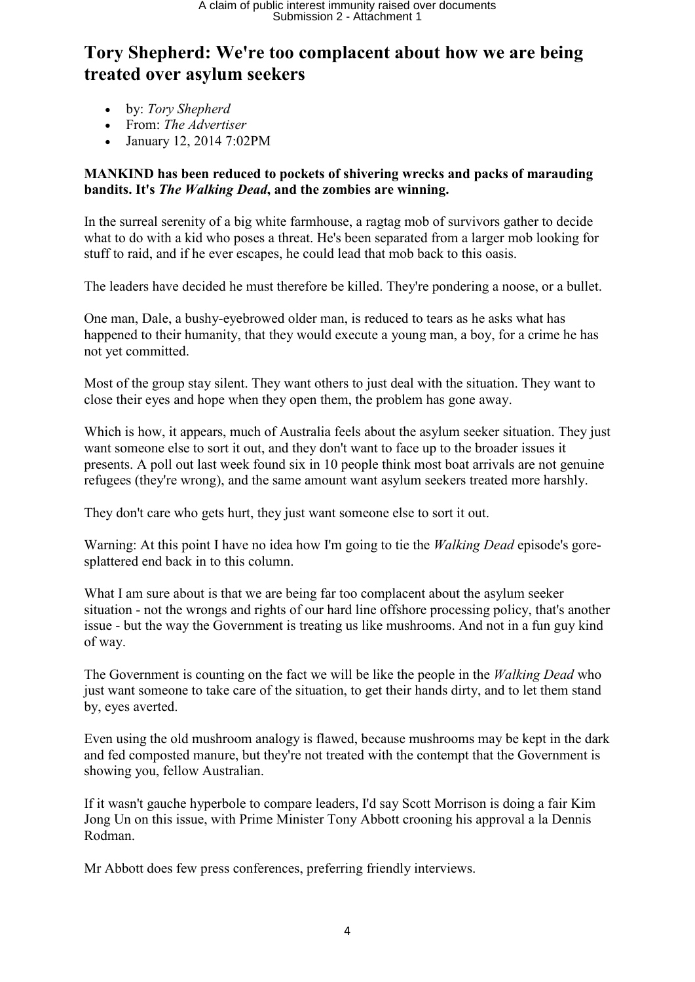### **Tory Shepherd: We're too complacent about how we are being treated over asylum seekers**

- by: *Tory Shepherd*
- From: *The Advertiser*
- January 12, 2014 7:02PM

#### **MANKIND has been reduced to pockets of shivering wrecks and packs of marauding bandits. It's** *The Walking Dead***, and the zombies are winning.**

In the surreal serenity of a big white farmhouse, a ragtag mob of survivors gather to decide what to do with a kid who poses a threat. He's been separated from a larger mob looking for stuff to raid, and if he ever escapes, he could lead that mob back to this oasis.

The leaders have decided he must therefore be killed. They're pondering a noose, or a bullet.

One man, Dale, a bushy-eyebrowed older man, is reduced to tears as he asks what has happened to their humanity, that they would execute a young man, a boy, for a crime he has not yet committed.

Most of the group stay silent. They want others to just deal with the situation. They want to close their eyes and hope when they open them, the problem has gone away.

Which is how, it appears, much of Australia feels about the asylum seeker situation. They just want someone else to sort it out, and they don't want to face up to the broader issues it presents. A poll out last week found six in 10 people think most boat arrivals are not genuine refugees (they're wrong), and the same amount want asylum seekers treated more harshly.

They don't care who gets hurt, they just want someone else to sort it out.

Warning: At this point I have no idea how I'm going to tie the *Walking Dead* episode's goresplattered end back in to this column.

What I am sure about is that we are being far too complacent about the asylum seeker situation - not the wrongs and rights of our hard line offshore processing policy, that's another issue - but the way the Government is treating us like mushrooms. And not in a fun guy kind of way.

The Government is counting on the fact we will be like the people in the *Walking Dead* who just want someone to take care of the situation, to get their hands dirty, and to let them stand by, eyes averted.

Even using the old mushroom analogy is flawed, because mushrooms may be kept in the dark and fed composted manure, but they're not treated with the contempt that the Government is showing you, fellow Australian.

If it wasn't gauche hyperbole to compare leaders, I'd say Scott Morrison is doing a fair Kim Jong Un on this issue, with Prime Minister Tony Abbott crooning his approval a la Dennis Rodman.

Mr Abbott does few press conferences, preferring friendly interviews.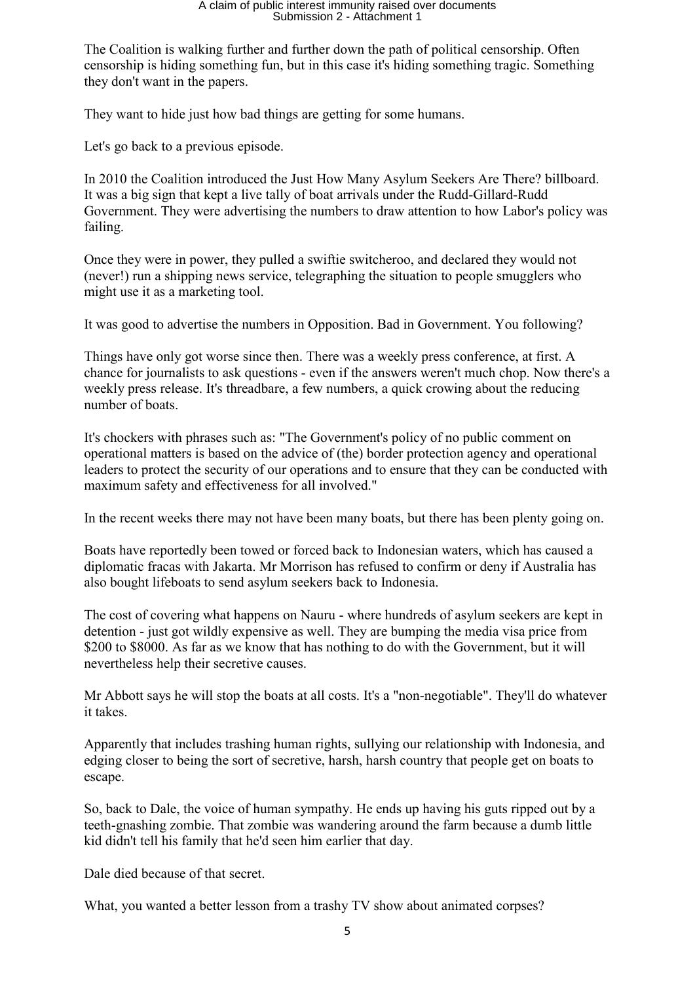The Coalition is walking further and further down the path of political censorship. Often censorship is hiding something fun, but in this case it's hiding something tragic. Something they don't want in the papers.

They want to hide just how bad things are getting for some humans.

Let's go back to a previous episode.

In 2010 the Coalition introduced the Just How Many Asylum Seekers Are There? billboard. It was a big sign that kept a live tally of boat arrivals under the Rudd-Gillard-Rudd Government. They were advertising the numbers to draw attention to how Labor's policy was failing.

Once they were in power, they pulled a swiftie switcheroo, and declared they would not (never!) run a shipping news service, telegraphing the situation to people smugglers who might use it as a marketing tool.

It was good to advertise the numbers in Opposition. Bad in Government. You following?

Things have only got worse since then. There was a weekly press conference, at first. A chance for journalists to ask questions - even if the answers weren't much chop. Now there's a weekly press release. It's threadbare, a few numbers, a quick crowing about the reducing number of boats.

It's chockers with phrases such as: "The Government's policy of no public comment on operational matters is based on the advice of (the) border protection agency and operational leaders to protect the security of our operations and to ensure that they can be conducted with maximum safety and effectiveness for all involved."

In the recent weeks there may not have been many boats, but there has been plenty going on.

Boats have reportedly been towed or forced back to Indonesian waters, which has caused a diplomatic fracas with Jakarta. Mr Morrison has refused to confirm or deny if Australia has also bought lifeboats to send asylum seekers back to Indonesia.

The cost of covering what happens on Nauru - where hundreds of asylum seekers are kept in detention - just got wildly expensive as well. They are bumping the media visa price from \$200 to \$8000. As far as we know that has nothing to do with the Government, but it will nevertheless help their secretive causes.

Mr Abbott says he will stop the boats at all costs. It's a "non-negotiable". They'll do whatever it takes.

Apparently that includes trashing human rights, sullying our relationship with Indonesia, and edging closer to being the sort of secretive, harsh, harsh country that people get on boats to escape.

So, back to Dale, the voice of human sympathy. He ends up having his guts ripped out by a teeth-gnashing zombie. That zombie was wandering around the farm because a dumb little kid didn't tell his family that he'd seen him earlier that day.

Dale died because of that secret.

What, you wanted a better lesson from a trashy TV show about animated corpses?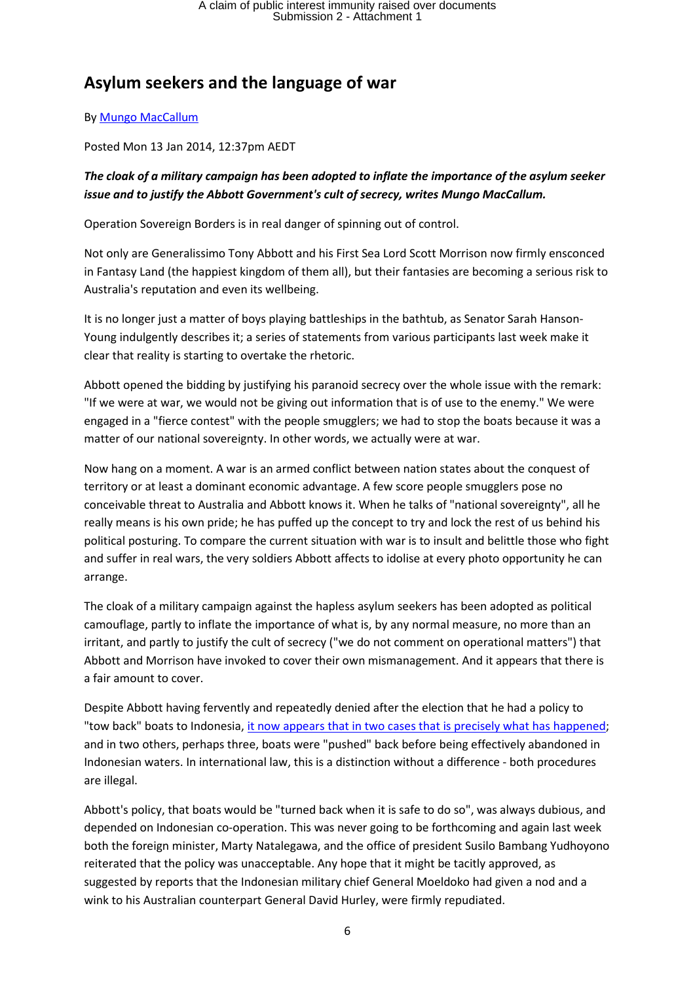### **Asylum seekers and the language of war**

#### By Mungo MacCallum

Posted Mon 13 Jan 2014, 12:37pm AEDT

*The cloak of a military campaign has been adopted to inflate the importance of the asylum seeker issue and to justify the Abbott Government's cult of secrecy, writes Mungo MacCallum.*

Operation Sovereign Borders is in real danger of spinning out of control.

Not only are Generalissimo Tony Abbott and his First Sea Lord Scott Morrison now firmly ensconced in Fantasy Land (the happiest kingdom of them all), but their fantasies are becoming a serious risk to Australia's reputation and even its wellbeing.

It is no longer just a matter of boys playing battleships in the bathtub, as Senator Sarah Hanson-Young indulgently describes it; a series of statements from various participants last week make it clear that reality is starting to overtake the rhetoric.

Abbott opened the bidding by justifying his paranoid secrecy over the whole issue with the remark: "If we were at war, we would not be giving out information that is of use to the enemy." We were engaged in a "fierce contest" with the people smugglers; we had to stop the boats because it was a matter of our national sovereignty. In other words, we actually were at war.

Now hang on a moment. A war is an armed conflict between nation states about the conquest of territory or at least a dominant economic advantage. A few score people smugglers pose no conceivable threat to Australia and Abbott knows it. When he talks of "national sovereignty", all he really means is his own pride; he has puffed up the concept to try and lock the rest of us behind his political posturing. To compare the current situation with war is to insult and belittle those who fight and suffer in real wars, the very soldiers Abbott affects to idolise at every photo opportunity he can arrange.

The cloak of a military campaign against the hapless asylum seekers has been adopted as political camouflage, partly to inflate the importance of what is, by any normal measure, no more than an irritant, and partly to justify the cult of secrecy ("we do not comment on operational matters") that Abbott and Morrison have invoked to cover their own mismanagement. And it appears that there is a fair amount to cover.

Despite Abbott having fervently and repeatedly denied after the election that he had a policy to "tow back" boats to Indonesia, it now appears that in two cases that is precisely what has happened; and in two others, perhaps three, boats were "pushed" back before being effectively abandoned in Indonesian waters. In international law, this is a distinction without a difference - both procedures are illegal.

Abbott's policy, that boats would be "turned back when it is safe to do so", was always dubious, and depended on Indonesian co-operation. This was never going to be forthcoming and again last week both the foreign minister, Marty Natalegawa, and the office of president Susilo Bambang Yudhoyono reiterated that the policy was unacceptable. Any hope that it might be tacitly approved, as suggested by reports that the Indonesian military chief General Moeldoko had given a nod and a wink to his Australian counterpart General David Hurley, were firmly repudiated.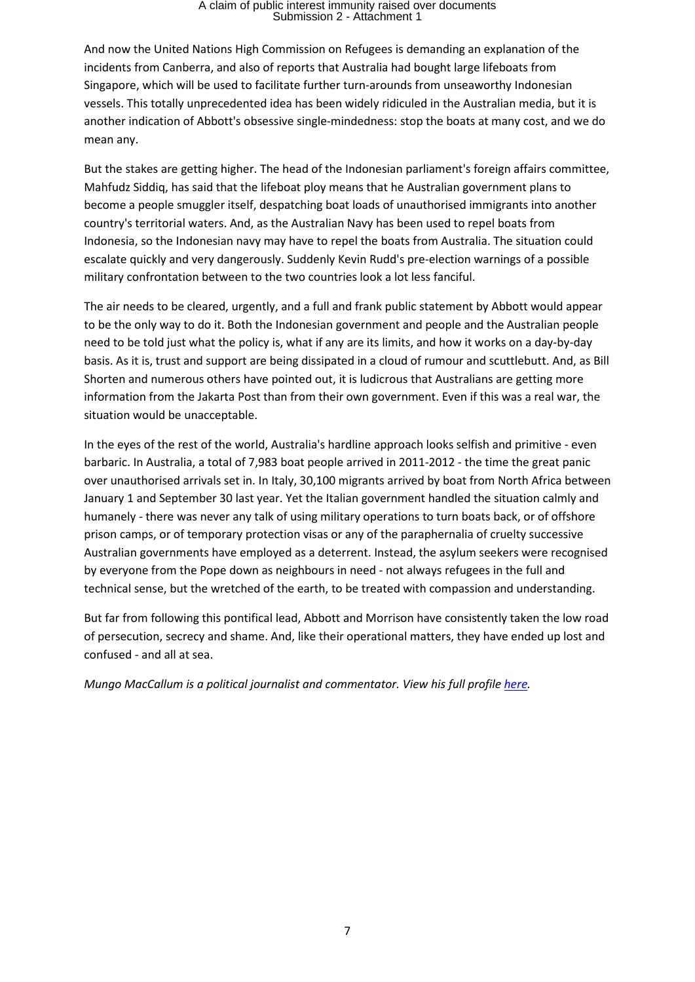# A claim of public interest immunity raised over documents Submission 2 - Attachment 1

And now the United Nations High Commission on Refugees is demanding an explanation of the incidents from Canberra, and also of reports that Australia had bought large lifeboats from Singapore, which will be used to facilitate further turn-arounds from unseaworthy Indonesian vessels. This totally unprecedented idea has been widely ridiculed in the Australian media, but it is another indication of Abbott's obsessive single-mindedness: stop the boats at many cost, and we do mean any.

But the stakes are getting higher. The head of the Indonesian parliament's foreign affairs committee, Mahfudz Siddiq, has said that the lifeboat ploy means that he Australian government plans to become a people smuggler itself, despatching boat loads of unauthorised immigrants into another country's territorial waters. And, as the Australian Navy has been used to repel boats from Indonesia, so the Indonesian navy may have to repel the boats from Australia. The situation could escalate quickly and very dangerously. Suddenly Kevin Rudd's pre-election warnings of a possible military confrontation between to the two countries look a lot less fanciful.

The air needs to be cleared, urgently, and a full and frank public statement by Abbott would appear to be the only way to do it. Both the Indonesian government and people and the Australian people need to be told just what the policy is, what if any are its limits, and how it works on a day-by-day basis. As it is, trust and support are being dissipated in a cloud of rumour and scuttlebutt. And, as Bill Shorten and numerous others have pointed out, it is ludicrous that Australians are getting more information from the Jakarta Post than from their own government. Even if this was a real war, the situation would be unacceptable.

In the eyes of the rest of the world, Australia's hardline approach looks selfish and primitive - even barbaric. In Australia, a total of 7,983 boat people arrived in 2011-2012 - the time the great panic over unauthorised arrivals set in. In Italy, 30,100 migrants arrived by boat from North Africa between January 1 and September 30 last year. Yet the Italian government handled the situation calmly and humanely - there was never any talk of using military operations to turn boats back, or of offshore prison camps, or of temporary protection visas or any of the paraphernalia of cruelty successive Australian governments have employed as a deterrent. Instead, the asylum seekers were recognised by everyone from the Pope down as neighbours in need - not always refugees in the full and technical sense, but the wretched of the earth, to be treated with compassion and understanding.

But far from following this pontifical lead, Abbott and Morrison have consistently taken the low road of persecution, secrecy and shame. And, like their operational matters, they have ended up lost and confused - and all at sea.

*Mungo MacCallum is a political journalist and commentator. View his full profile here.*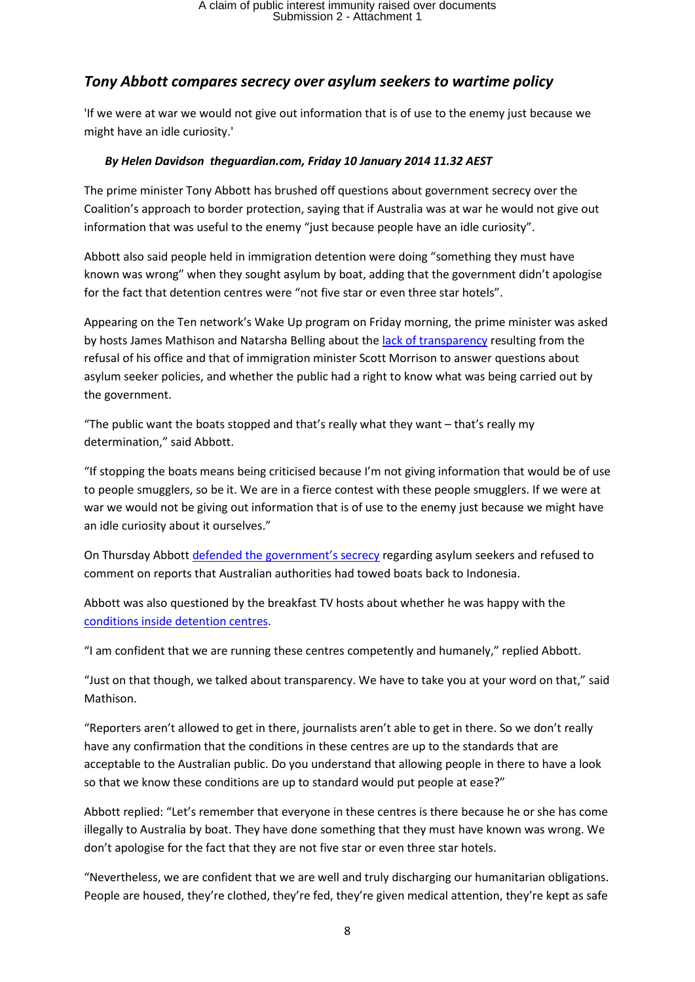### *Tony Abbott compares secrecy over asylum seekers to wartime policy*

'If we were at war we would not give out information that is of use to the enemy just because we might have an idle curiosity.'

#### *By Helen Davidson theguardian.com, Friday 10 January 2014 11.32 AEST*

The prime minister Tony Abbott has brushed off questions about government secrecy over the Coalition's approach to border protection, saying that if Australia was at war he would not give out information that was useful to the enemy "just because people have an idle curiosity".

Abbott also said people held in immigration detention were doing "something they must have known was wrong" when they sought asylum by boat, adding that the government didn't apologise for the fact that detention centres were "not five star or even three star hotels".

Appearing on the Ten network's Wake Up program on Friday morning, the prime minister was asked by hosts James Mathison and Natarsha Belling about the lack of transparency resulting from the refusal of his office and that of immigration minister Scott Morrison to answer questions about asylum seeker policies, and whether the public had a right to know what was being carried out by the government.

"The public want the boats stopped and that's really what they want – that's really my determination," said Abbott.

"If stopping the boats means being criticised because I'm not giving information that would be of use to people smugglers, so be it. We are in a fierce contest with these people smugglers. If we were at war we would not be giving out information that is of use to the enemy just because we might have an idle curiosity about it ourselves."

On Thursday Abbott defended the government's secrecy regarding asylum seekers and refused to comment on reports that Australian authorities had towed boats back to Indonesia.

Abbott was also questioned by the breakfast TV hosts about whether he was happy with the conditions inside detention centres.

"I am confident that we are running these centres competently and humanely," replied Abbott.

"Just on that though, we talked about transparency. We have to take you at your word on that," said Mathison.

"Reporters aren't allowed to get in there, journalists aren't able to get in there. So we don't really have any confirmation that the conditions in these centres are up to the standards that are acceptable to the Australian public. Do you understand that allowing people in there to have a look so that we know these conditions are up to standard would put people at ease?"

Abbott replied: "Let's remember that everyone in these centres is there because he or she has come illegally to Australia by boat. They have done something that they must have known was wrong. We don't apologise for the fact that they are not five star or even three star hotels.

"Nevertheless, we are confident that we are well and truly discharging our humanitarian obligations. People are housed, they're clothed, they're fed, they're given medical attention, they're kept as safe